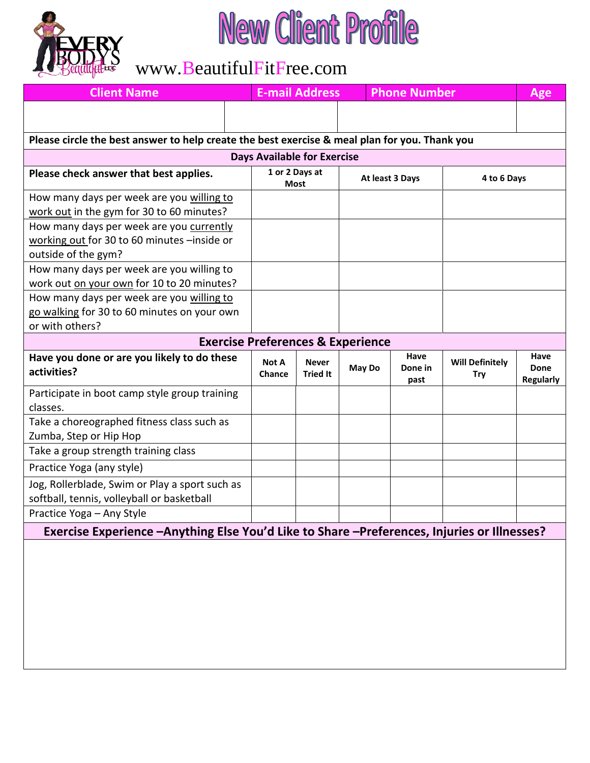

## New Client Profile

## www.BeautifulFitFree.com

| Age                                                                                                                                 |  |  |  |  |  |  |  |  |
|-------------------------------------------------------------------------------------------------------------------------------------|--|--|--|--|--|--|--|--|
|                                                                                                                                     |  |  |  |  |  |  |  |  |
|                                                                                                                                     |  |  |  |  |  |  |  |  |
| Please circle the best answer to help create the best exercise & meal plan for you. Thank you<br><b>Days Available for Exercise</b> |  |  |  |  |  |  |  |  |
| 4 to 6 Days                                                                                                                         |  |  |  |  |  |  |  |  |
|                                                                                                                                     |  |  |  |  |  |  |  |  |
|                                                                                                                                     |  |  |  |  |  |  |  |  |
|                                                                                                                                     |  |  |  |  |  |  |  |  |
|                                                                                                                                     |  |  |  |  |  |  |  |  |
|                                                                                                                                     |  |  |  |  |  |  |  |  |
|                                                                                                                                     |  |  |  |  |  |  |  |  |
| or with others?<br><b>Exercise Preferences &amp; Experience</b>                                                                     |  |  |  |  |  |  |  |  |
| Have<br><b>Will Definitely</b><br>Done<br><b>Regularly</b>                                                                          |  |  |  |  |  |  |  |  |
|                                                                                                                                     |  |  |  |  |  |  |  |  |
|                                                                                                                                     |  |  |  |  |  |  |  |  |
|                                                                                                                                     |  |  |  |  |  |  |  |  |
|                                                                                                                                     |  |  |  |  |  |  |  |  |
|                                                                                                                                     |  |  |  |  |  |  |  |  |
|                                                                                                                                     |  |  |  |  |  |  |  |  |
| Exercise Experience -Anything Else You'd Like to Share -Preferences, Injuries or Illnesses?                                         |  |  |  |  |  |  |  |  |
|                                                                                                                                     |  |  |  |  |  |  |  |  |
|                                                                                                                                     |  |  |  |  |  |  |  |  |